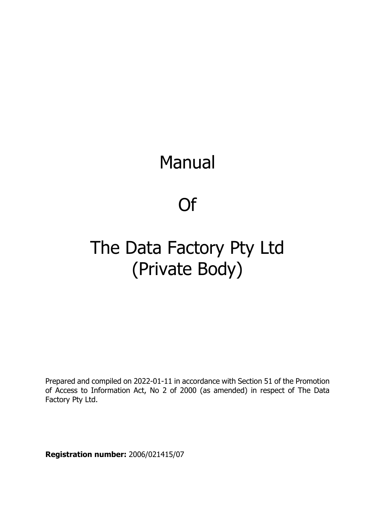# Manual

Of

# The Data Factory Pty Ltd (Private Body)

Prepared and compiled on 2022-01-11 in accordance with Section 51 of the Promotion of Access to Information Act, No 2 of 2000 (as amended) in respect of The Data Factory Pty Ltd.

**Registration number:** 2006/021415/07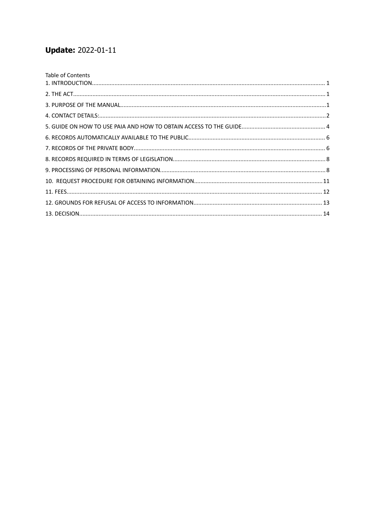# **Update: 2022-01-11**

| Table of Contents |  |
|-------------------|--|
|                   |  |
|                   |  |
|                   |  |
|                   |  |
|                   |  |
|                   |  |
|                   |  |
|                   |  |
|                   |  |
|                   |  |
|                   |  |
|                   |  |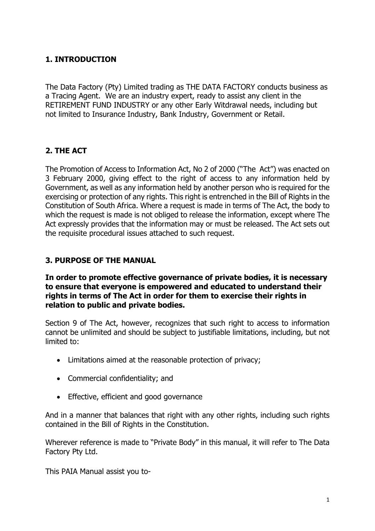# <span id="page-2-0"></span>**1. INTRODUCTION**

The Data Factory (Pty) Limited trading as THE DATA FACTORY conducts business as a Tracing Agent. We are an industry expert, ready to assist any client in the RETIREMENT FUND INDUSTRY or any other Early Witdrawal needs, including but not limited to Insurance Industry, Bank Industry, Government or Retail.

# <span id="page-2-1"></span>**2. THE ACT**

The Promotion of Access to Information Act, No 2 of 2000 ("The Act") was enacted on 3 February 2000, giving effect to the right of access to any information held by Government, as well as any information held by another person who is required for the exercising or protection of any rights. This right is entrenched in the Bill of Rights in the Constitution of South Africa. Where a request is made in terms of The Act, the body to which the request is made is not obliged to release the information, except where The Act expressly provides that the information may or must be released. The Act sets out the requisite procedural issues attached to such request.

#### <span id="page-2-2"></span>**3. PURPOSE OF THE MANUAL**

#### **In order to promote effective governance of private bodies, it is necessary to ensure that everyone is empowered and educated to understand their rights in terms of The Act in order for them to exercise their rights in relation to public and private bodies.**

Section 9 of The Act, however, recognizes that such right to access to information cannot be unlimited and should be subject to justifiable limitations, including, but not limited to:

- Limitations aimed at the reasonable protection of privacy;
- Commercial confidentiality; and
- Effective, efficient and good governance

And in a manner that balances that right with any other rights, including such rights contained in the Bill of Rights in the Constitution.

Wherever reference is made to "Private Body" in this manual, it will refer to The Data Factory Pty Ltd.

This PAIA Manual assist you to-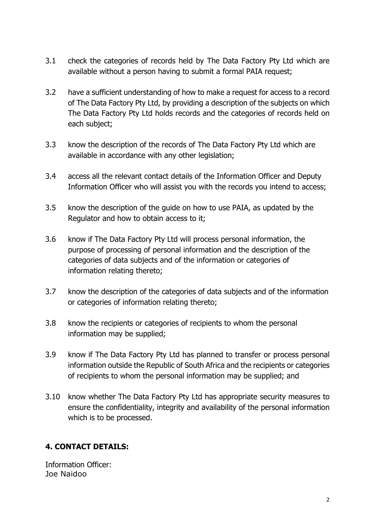- 3.1 check the categories of records held by The Data Factory Pty Ltd which are available without a person having to submit a formal PAIA request;
- 3.2 have a sufficient understanding of how to make a request for access to a record of The Data Factory Pty Ltd, by providing a description of the subjects on which The Data Factory Pty Ltd holds records and the categories of records held on each subject;
- 3.3 know the description of the records of The Data Factory Pty Ltd which are available in accordance with any other legislation;
- 3.4 access all the relevant contact details of the Information Officer and Deputy Information Officer who will assist you with the records you intend to access;
- 3.5 know the description of the guide on how to use PAIA, as updated by the Regulator and how to obtain access to it;
- 3.6 know if The Data Factory Pty Ltd will process personal information, the purpose of processing of personal information and the description of the categories of data subjects and of the information or categories of information relating thereto;
- 3.7 know the description of the categories of data subjects and of the information or categories of information relating thereto;
- 3.8 know the recipients or categories of recipients to whom the personal information may be supplied;
- 3.9 know if The Data Factory Pty Ltd has planned to transfer or process personal information outside the Republic of South Africa and the recipients or categories of recipients to whom the personal information may be supplied; and
- 3.10 know whether The Data Factory Pty Ltd has appropriate security measures to ensure the confidentiality, integrity and availability of the personal information which is to be processed.

# <span id="page-3-0"></span>**4. CONTACT DETAILS:**

Information Officer: Joe Naidoo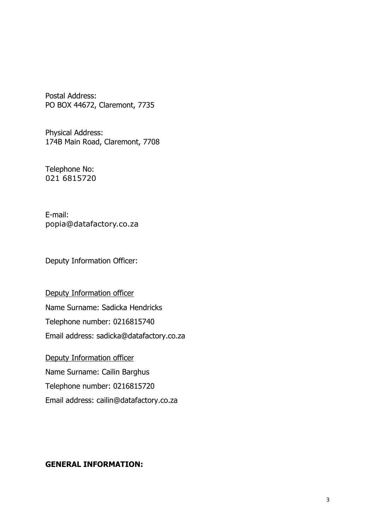Postal Address: PO BOX 44672, Claremont, 7735

Physical Address: 174B Main Road, Claremont, 7708

Telephone No: 021 6815720

E-mail: popia@datafactory.co.za

Deputy Information Officer:

Deputy Information officer Name Surname: Sadicka Hendricks Telephone number: 0216815740 Email address: sadicka@datafactory.co.za

Deputy Information officer Name Surname: Cailin Barghus Telephone number: 0216815720 Email address: cailin@datafactory.co.za

#### **GENERAL INFORMATION:**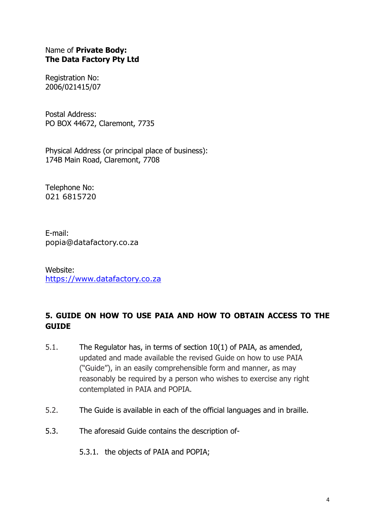#### Name of **Private Body: The Data Factory Pty Ltd**

Registration No: 2006/021415/07

Postal Address: PO BOX 44672, Claremont, 7735

Physical Address (or principal place of business): 174B Main Road, Claremont, 7708

Telephone No: 021 6815720

E-mail: popia@datafactory.co.za

Website: [https://www.datafactory.co.za](https://www.datafactory.co.za/)

# <span id="page-5-0"></span>**5. GUIDE ON HOW TO USE PAIA AND HOW TO OBTAIN ACCESS TO THE GUIDE**

- 5.1. The Regulator has, in terms of section 10(1) of PAIA, as amended, updated and made available the revised Guide on how to use PAIA ("Guide"), in an easily comprehensible form and manner, as may reasonably be required by a person who wishes to exercise any right contemplated in PAIA and POPIA.
- 5.2. The Guide is available in each of the official languages and in braille.
- 5.3. The aforesaid Guide contains the description of-
	- 5.3.1. the objects of PAIA and POPIA;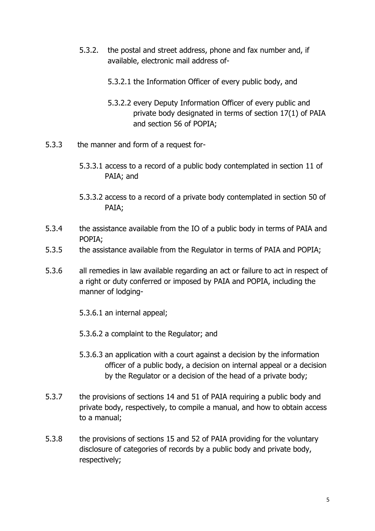- 5.3.2. the postal and street address, phone and fax number and, if available, electronic mail address of-
	- 5.3.2.1 the Information Officer of every public body, and
	- 5.3.2.2 every Deputy Information Officer of every public and private body designated in terms of section 17(1) of PAIA and section 56 of POPIA;
- 5.3.3 the manner and form of a request for-
	- 5.3.3.1 access to a record of a public body contemplated in section 11 of PAIA; and
	- 5.3.3.2 access to a record of a private body contemplated in section 50 of PAIA;
- 5.3.4 the assistance available from the IO of a public body in terms of PAIA and POPIA;
- 5.3.5 the assistance available from the Regulator in terms of PAIA and POPIA;
- 5.3.6 all remedies in law available regarding an act or failure to act in respect of a right or duty conferred or imposed by PAIA and POPIA, including the manner of lodging-
	- 5.3.6.1 an internal appeal;
	- 5.3.6.2 a complaint to the Regulator; and
	- 5.3.6.3 an application with a court against a decision by the information officer of a public body, a decision on internal appeal or a decision by the Regulator or a decision of the head of a private body;
- 5.3.7 the provisions of sections 14 and 51 of PAIA requiring a public body and private body, respectively, to compile a manual, and how to obtain access to a manual;
- 5.3.8 the provisions of sections 15 and 52 of PAIA providing for the voluntary disclosure of categories of records by a public body and private body, respectively;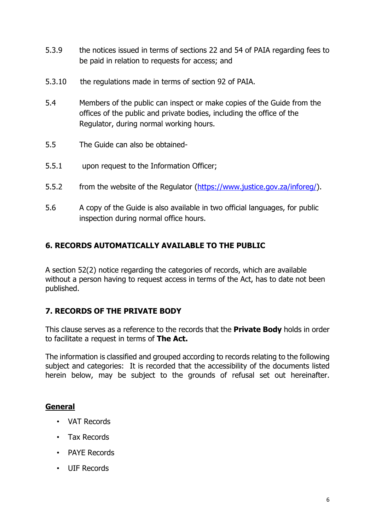- 5.3.9 the notices issued in terms of sections 22 and 54 of PAIA regarding fees to be paid in relation to requests for access; and
- 5.3.10 the regulations made in terms of section 92 of PAIA.
- 5.4 Members of the public can inspect or make copies of the Guide from the offices of the public and private bodies, including the office of the Regulator, during normal working hours.
- 5.5 The Guide can also be obtained-
- 5.5.1 upon request to the Information Officer;
- 5.5.2 from the website of the Regulator [\(https://www.justice.gov.za/inforeg/](https://www.justice.gov.za/inforeg/)).
- 5.6 A copy of the Guide is also available in two official languages, for public inspection during normal office hours.

#### <span id="page-7-0"></span>**6. RECORDS AUTOMATICALLY AVAILABLE TO THE PUBLIC**

A section 52(2) notice regarding the categories of records, which are available without a person having to request access in terms of the Act, has to date not been published.

#### <span id="page-7-1"></span>**7. RECORDS OF THE PRIVATE BODY**

This clause serves as a reference to the records that the **Private Body** holds in order to facilitate a request in terms of **The Act.**

The information is classified and grouped according to records relating to the following subject and categories: It is recorded that the accessibility of the documents listed herein below, may be subject to the grounds of refusal set out hereinafter.

#### **General**

- VAT Records
- Tax Records
- PAYE Records
- UIF Records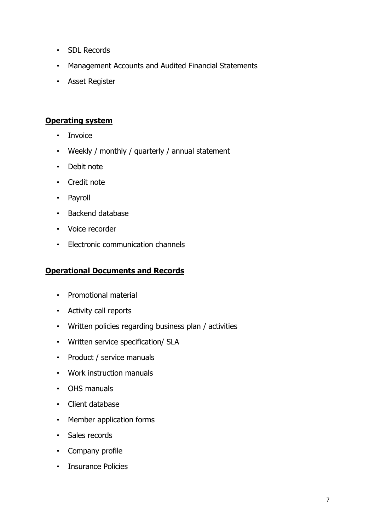- SDL Records
- Management Accounts and Audited Financial Statements
- Asset Register

#### **Operating system**

- Invoice
- Weekly / monthly / quarterly / annual statement
- Debit note
- Credit note
- Payroll
- Backend database
- Voice recorder
- Electronic communication channels

### **Operational Documents and Records**

- Promotional material
- Activity call reports
- Written policies regarding business plan / activities
- Written service specification/ SLA
- Product / service manuals
- Work instruction manuals
- OHS manuals
- Client database
- Member application forms
- Sales records
- Company profile
- Insurance Policies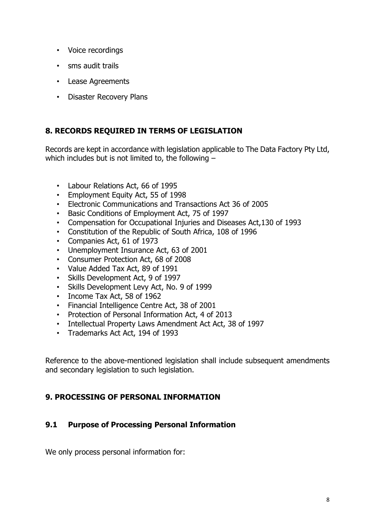- Voice recordings
- sms audit trails
- Lease Agreements
- Disaster Recovery Plans

# <span id="page-9-0"></span>**8. RECORDS REQUIRED IN TERMS OF LEGISLATION**

Records are kept in accordance with legislation applicable to The Data Factory Pty Ltd, which includes but is not limited to, the following –

- Labour Relations Act, 66 of 1995
- Employment Equity Act, 55 of 1998
- Electronic Communications and Transactions Act 36 of 2005
- Basic Conditions of Employment Act, 75 of 1997
- Compensation for Occupational Injuries and Diseases Act,130 of 1993
- Constitution of the Republic of South Africa, 108 of 1996
- Companies Act, 61 of 1973
- Unemployment Insurance Act, 63 of 2001
- Consumer Protection Act, 68 of 2008
- Value Added Tax Act, 89 of 1991
- Skills Development Act, 9 of 1997
- Skills Development Levy Act, No. 9 of 1999
- Income Tax Act, 58 of 1962
- Financial Intelligence Centre Act, 38 of 2001
- Protection of Personal Information Act, 4 of 2013
- Intellectual Property Laws Amendment Act Act, 38 of 1997
- Trademarks Act Act, 194 of 1993

Reference to the above-mentioned legislation shall include subsequent amendments and secondary legislation to such legislation.

### <span id="page-9-1"></span>**9. PROCESSING OF PERSONAL INFORMATION**

### **9.1 Purpose of Processing Personal Information**

We only process personal information for: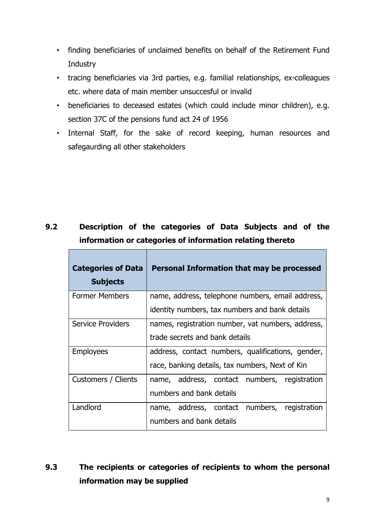- finding beneficiaries of unclaimed benefits on behalf of the Retirement Fund **Industry**
- tracing beneficiaries via 3rd parties, e.g. familial relationships, ex-colleagues etc. where data of main member unsuccesful or invalid
- beneficiaries to deceased estates (which could include minor children), e.g. section 37C of the pensions fund act 24 of 1956
- Internal Staff, for the sake of record keeping, human resources and safegaurding all other stakeholders

# **9.2 Description of the categories of Data Subjects and of the information or categories of information relating thereto**

 $\overline{\phantom{a}}$ 

| <b>Categories of Data</b><br><b>Subjects</b> | Personal Information that may be processed        |  |
|----------------------------------------------|---------------------------------------------------|--|
| <b>Former Members</b>                        | name, address, telephone numbers, email address,  |  |
|                                              | identity numbers, tax numbers and bank details    |  |
| <b>Service Providers</b>                     | names, registration number, vat numbers, address, |  |
|                                              | trade secrets and bank details                    |  |
| <b>Employees</b>                             | address, contact numbers, qualifications, gender, |  |
|                                              | race, banking details, tax numbers, Next of Kin   |  |
| Customers / Clients                          | name, address, contact numbers, registration      |  |
|                                              | numbers and bank details                          |  |
| Landlord                                     | name, address, contact numbers,<br>registration   |  |
|                                              | numbers and bank details                          |  |

# **9.3 The recipients or categories of recipients to whom the personal information may be supplied**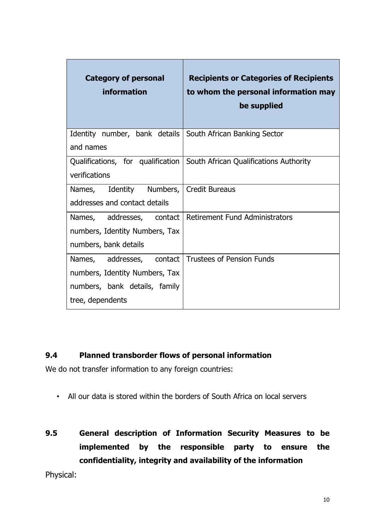| <b>Category of personal</b><br>information                                                                       | <b>Recipients or Categories of Recipients</b><br>to whom the personal information may<br>be supplied |
|------------------------------------------------------------------------------------------------------------------|------------------------------------------------------------------------------------------------------|
| Identity number, bank details   South African Banking Sector<br>and names                                        |                                                                                                      |
| verifications                                                                                                    | Qualifications, for qualification   South African Qualifications Authority                           |
| Names, Identity Numbers,<br>addresses and contact details                                                        | <b>Credit Bureaus</b>                                                                                |
| Names, addresses, contact<br>numbers, Identity Numbers, Tax<br>numbers, bank details                             | <b>Retirement Fund Administrators</b>                                                                |
| Names, addresses, contact<br>numbers, Identity Numbers, Tax<br>numbers, bank details, family<br>tree, dependents | <b>Trustees of Pension Funds</b>                                                                     |

### **9.4 Planned transborder flows of personal information**

We do not transfer information to any foreign countries:

- All our data is stored within the borders of South Africa on local servers
- **9.5 General description of Information Security Measures to be implemented by the responsible party to ensure the confidentiality, integrity and availability of the information**

Physical: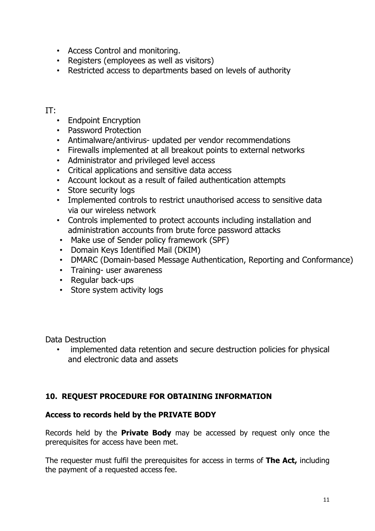- Access Control and monitoring.
- Registers (employees as well as visitors)
- Restricted access to departments based on levels of authority

#### IT:

- Endpoint Encryption
- Password Protection
- Antimalware/antivirus- updated per vendor recommendations
- Firewalls implemented at all breakout points to external networks
- Administrator and privileged level access
- Critical applications and sensitive data access
- Account lockout as a result of failed authentication attempts
- Store security logs
- Implemented controls to restrict unauthorised access to sensitive data via our wireless network
- Controls implemented to protect accounts including installation and administration accounts from brute force password attacks
- Make use of Sender policy framework (SPF)
- Domain Keys Identified Mail (DKIM)
- DMARC (Domain-based Message Authentication, Reporting and Conformance)
- Training- user awareness
- Regular back-ups
- Store system activity logs

Data Destruction

• implemented data retention and secure destruction policies for physical and electronic data and assets

### <span id="page-12-0"></span>**10. REQUEST PROCEDURE FOR OBTAINING INFORMATION**

### **Access to records held by the PRIVATE BODY**

Records held by the **Private Body** may be accessed by request only once the prerequisites for access have been met.

The requester must fulfil the prerequisites for access in terms of **The Act,** including the payment of a requested access fee.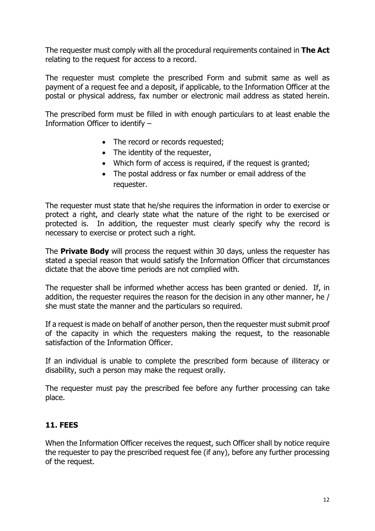The requester must comply with all the procedural requirements contained in **The Act** relating to the request for access to a record.

The requester must complete the prescribed Form and submit same as well as payment of a request fee and a deposit, if applicable, to the Information Officer at the postal or physical address, fax number or electronic mail address as stated herein.

The prescribed form must be filled in with enough particulars to at least enable the Information Officer to identify –

- The record or records requested;
- The identity of the requester,
- Which form of access is required, if the request is granted;
- The postal address or fax number or email address of the requester.

The requester must state that he/she requires the information in order to exercise or protect a right, and clearly state what the nature of the right to be exercised or protected is. In addition, the requester must clearly specify why the record is necessary to exercise or protect such a right.

The **Private Body** will process the request within 30 days, unless the requester has stated a special reason that would satisfy the Information Officer that circumstances dictate that the above time periods are not complied with.

The requester shall be informed whether access has been granted or denied. If, in addition, the requester requires the reason for the decision in any other manner, he / she must state the manner and the particulars so required.

If a request is made on behalf of another person, then the requester must submit proof of the capacity in which the requesters making the request, to the reasonable satisfaction of the Information Officer.

If an individual is unable to complete the prescribed form because of illiteracy or disability, such a person may make the request orally.

The requester must pay the prescribed fee before any further processing can take place.

#### <span id="page-13-0"></span>**11. FEES**

When the Information Officer receives the request, such Officer shall by notice require the requester to pay the prescribed request fee (if any), before any further processing of the request.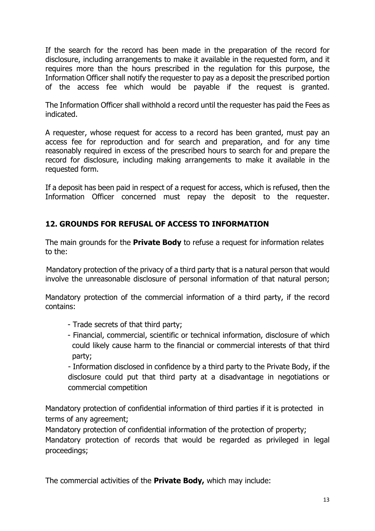If the search for the record has been made in the preparation of the record for disclosure, including arrangements to make it available in the requested form, and it requires more than the hours prescribed in the regulation for this purpose, the Information Officer shall notify the requester to pay as a deposit the prescribed portion of the access fee which would be payable if the request is granted.

The Information Officer shall withhold a record until the requester has paid the Fees as indicated.

A requester, whose request for access to a record has been granted, must pay an access fee for reproduction and for search and preparation, and for any time reasonably required in excess of the prescribed hours to search for and prepare the record for disclosure, including making arrangements to make it available in the requested form.

If a deposit has been paid in respect of a request for access, which is refused, then the Information Officer concerned must repay the deposit to the requester.

# <span id="page-14-0"></span>**12. GROUNDS FOR REFUSAL OF ACCESS TO INFORMATION**

The main grounds for the **Private Body** to refuse a request for information relates to the:

Mandatory protection of the privacy of a third party that is a natural person that would involve the unreasonable disclosure of personal information of that natural person;

Mandatory protection of the commercial information of a third party, if the record contains:

- Trade secrets of that third party;
- Financial, commercial, scientific or technical information, disclosure of which could likely cause harm to the financial or commercial interests of that third party;

- Information disclosed in confidence by a third party to the Private Body, if the disclosure could put that third party at a disadvantage in negotiations or commercial competition

Mandatory protection of confidential information of third parties if it is protected in terms of any agreement;

Mandatory protection of confidential information of the protection of property; Mandatory protection of records that would be regarded as privileged in legal proceedings;

The commercial activities of the **Private Body,** which may include: